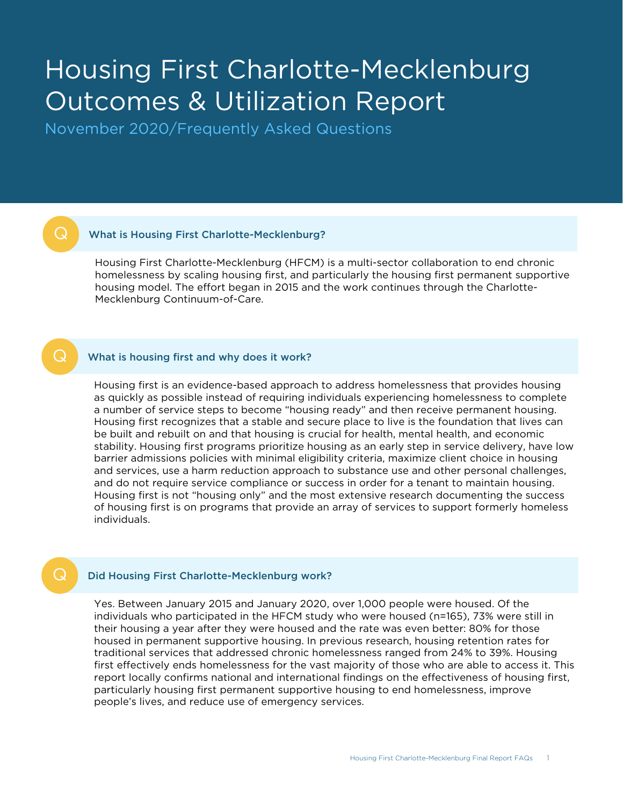# Housing First Charlotte-Mecklenburg Outcomes & Utilization Report

November 2020/Frequently Asked Questions

# What is Housing First Charlotte-Mecklenburg?

Housing First Charlotte-Mecklenburg (HFCM) is a multi-sector collaboration to end chronic homelessness by scaling housing first, and particularly the housing first permanent supportive housing model. The effort began in 2015 and the work continues through the Charlotte-Mecklenburg Continuum-of-Care.

### Q What is housing first and why does it work?

Housing first is an evidence-based approach to address homelessness that provides housing as quickly as possible instead of requiring individuals experiencing homelessness to complete a number of service steps to become "housing ready" and then receive permanent housing. Housing first recognizes that a stable and secure place to live is the foundation that lives can be built and rebuilt on and that housing is crucial for health, mental health, and economic stability. Housing first programs prioritize housing as an early step in service delivery, have low barrier admissions policies with minimal eligibility criteria, maximize client choice in housing and services, use a harm reduction approach to substance use and other personal challenges, and do not require service compliance or success in order for a tenant to maintain housing. Housing first is not "housing only" and the most extensive research documenting the success of housing first is on programs that provide an array of services to support formerly homeless individuals.

# Did Housing First Charlotte-Mecklenburg work?

Yes. Between January 2015 and January 2020, over 1,000 people were housed. Of the individuals who participated in the HFCM study who were housed (n=165), 73% were still in their housing a year after they were housed and the rate was even better: 80% for those housed in permanent supportive housing. In previous research, housing retention rates for traditional services that addressed chronic homelessness ranged from 24% to 39%. Housing first effectively ends homelessness for the vast majority of those who are able to access it. This report locally confirms national and international findings on the effectiveness of housing first, particularly housing first permanent supportive housing to end homelessness, improve people's lives, and reduce use of emergency services.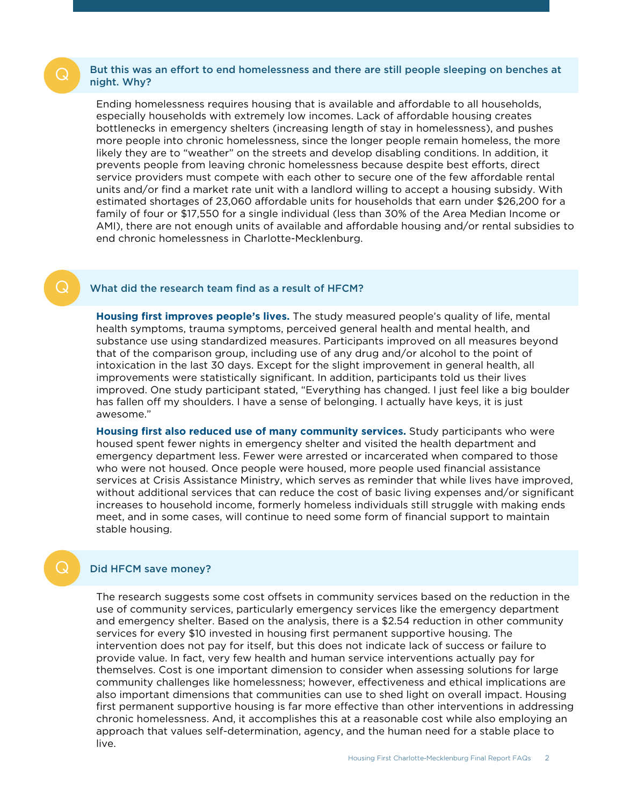# But this was an effort to end homelessness and there are still people sleeping on benches at night. Why?

Ending homelessness requires housing that is available and affordable to all households, especially households with extremely low incomes. Lack of affordable housing creates bottlenecks in emergency shelters (increasing length of stay in homelessness), and pushes more people into chronic homelessness, since the longer people remain homeless, the more likely they are to "weather" on the streets and develop disabling conditions. In addition, it prevents people from leaving chronic homelessness because despite best efforts, direct service providers must compete with each other to secure one of the few affordable rental units and/or find a market rate unit with a landlord willing to accept a housing subsidy. With estimated shortages of 23,060 affordable units for households that earn under \$26,200 for a family of four or \$17,550 for a single individual (less than 30% of the Area Median Income or AMI), there are not enough units of available and affordable housing and/or rental subsidies to end chronic homelessness in Charlotte-Mecklenburg.

# What did the research team find as a result of HFCM?

**Housing first improves people's lives.** The study measured people's quality of life, mental health symptoms, trauma symptoms, perceived general health and mental health, and substance use using standardized measures. Participants improved on all measures beyond that of the comparison group, including use of any drug and/or alcohol to the point of intoxication in the last 30 days. Except for the slight improvement in general health, all improvements were statistically significant. In addition, participants told us their lives improved. One study participant stated, "Everything has changed. I just feel like a big boulder has fallen off my shoulders. I have a sense of belonging. I actually have keys, it is just awesome."

**Housing first also reduced use of many community services.** Study participants who were housed spent fewer nights in emergency shelter and visited the health department and emergency department less. Fewer were arrested or incarcerated when compared to those who were not housed. Once people were housed, more people used financial assistance services at Crisis Assistance Ministry, which serves as reminder that while lives have improved, without additional services that can reduce the cost of basic living expenses and/or significant increases to household income, formerly homeless individuals still struggle with making ends meet, and in some cases, will continue to need some form of financial support to maintain stable housing.

# Did HFCM save money?

The research suggests some cost offsets in community services based on the reduction in the use of community services, particularly emergency services like the emergency department and emergency shelter. Based on the analysis, there is a \$2.54 reduction in other community services for every \$10 invested in housing first permanent supportive housing. The intervention does not pay for itself, but this does not indicate lack of success or failure to provide value. In fact, very few health and human service interventions actually pay for themselves. Cost is one important dimension to consider when assessing solutions for large community challenges like homelessness; however, effectiveness and ethical implications are also important dimensions that communities can use to shed light on overall impact. Housing first permanent supportive housing is far more effective than other interventions in addressing chronic homelessness. And, it accomplishes this at a reasonable cost while also employing an approach that values self-determination, agency, and the human need for a stable place to live.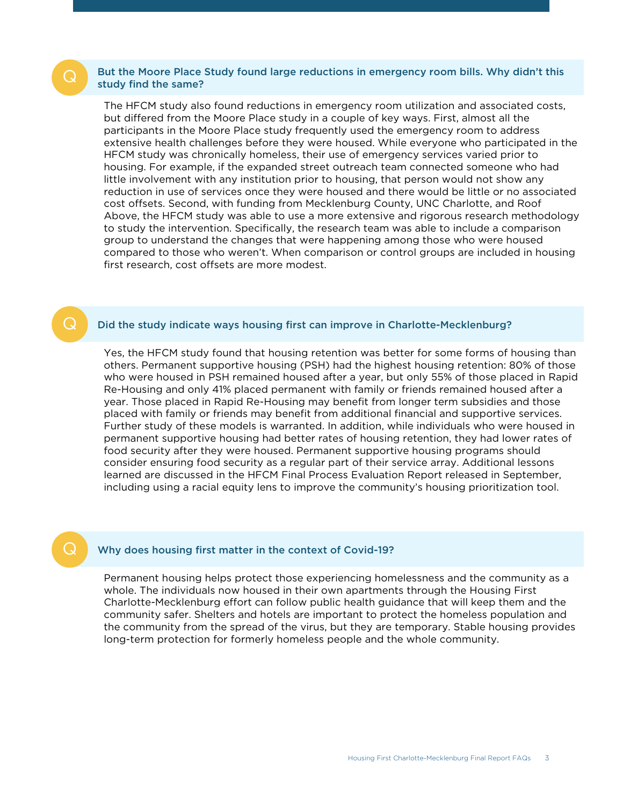# Q But the Moore Place Study found large reductions in emergency room bills. Why didn't this study find the same?

The HFCM study also found reductions in emergency room utilization and associated costs, but differed from the Moore Place study in a couple of key ways. First, almost all the participants in the Moore Place study frequently used the emergency room to address extensive health challenges before they were housed. While everyone who participated in the HFCM study was chronically homeless, their use of emergency services varied prior to housing. For example, if the expanded street outreach team connected someone who had little involvement with any institution prior to housing, that person would not show any reduction in use of services once they were housed and there would be little or no associated cost offsets. Second, with funding from Mecklenburg County, UNC Charlotte, and Roof Above, the HFCM study was able to use a more extensive and rigorous research methodology to study the intervention. Specifically, the research team was able to include a comparison group to understand the changes that were happening among those who were housed compared to those who weren't. When comparison or control groups are included in housing first research, cost offsets are more modest.

# Q Did the study indicate ways housing first can improve in Charlotte-Mecklenburg?

Yes, the HFCM study found that housing retention was better for some forms of housing than others. Permanent supportive housing (PSH) had the highest housing retention: 80% of those who were housed in PSH remained housed after a year, but only 55% of those placed in Rapid Re-Housing and only 41% placed permanent with family or friends remained housed after a year. Those placed in Rapid Re-Housing may benefit from longer term subsidies and those placed with family or friends may benefit from additional financial and supportive services. Further study of these models is warranted. In addition, while individuals who were housed in permanent supportive housing had better rates of housing retention, they had lower rates of food security after they were housed. Permanent supportive housing programs should consider ensuring food security as a regular part of their service array. Additional lessons learned are discussed in the HFCM Final Process Evaluation Report released in September, including using a racial equity lens to improve the community's housing prioritization tool.

# **Q** Why does housing first matter in the context of Covid-19?

Permanent housing helps protect those experiencing homelessness and the community as a whole. The individuals now housed in their own apartments through the Housing First Charlotte-Mecklenburg effort can follow public health guidance that will keep them and the community safer. Shelters and hotels are important to protect the homeless population and the community from the spread of the virus, but they are temporary. Stable housing provides long-term protection for formerly homeless people and the whole community.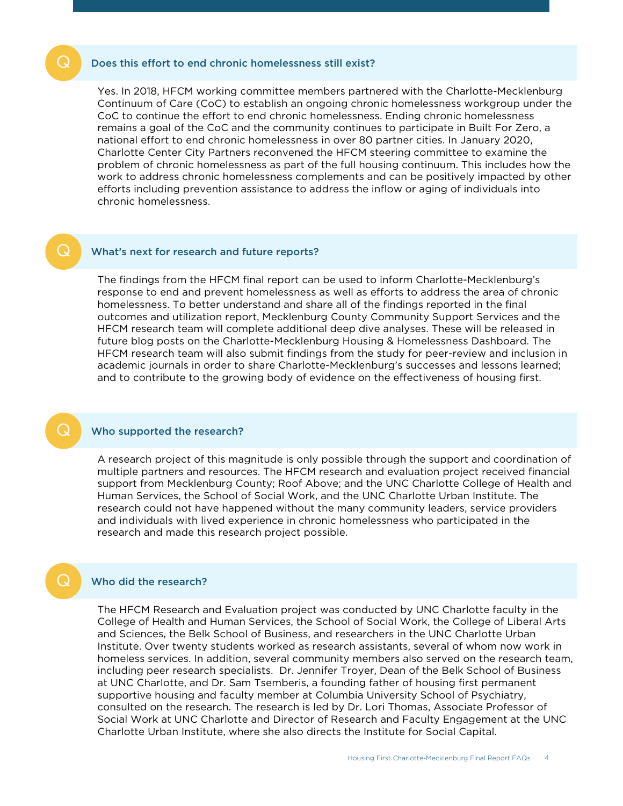#### Does this effort to end chronic homelessness still exist?

Yes. In 2018, HFCM working committee members partnered with the Charlotte-Mecklenburg Continuum of Care (CoC) to establish an ongoing chronic homelessness workgroup under the CoC to continue the effort to end chronic homelessness. Ending chronic homelessness remains a goal of the CoC and the community continues to participate in Built For Zero, a national effort to end chronic homelessness in over 80 partner cities. In January 2020, Charlotte Center City Partners reconvened the HFCM steering committee to examine the problem of chronic homelessness as part of the full housing continuum. This includes how the work to address chronic homelessness complements and can be positively impacted by other efforts including prevention assistance to address the inflow or aging of individuals into chronic homelessness.

# What's next for research and future reports?

The findings from the HFCM final report can be used to inform Charlotte-Mecklenburg's response to end and prevent homelessness as well as efforts to address the area of chronic homelessness. To better understand and share all of the findings reported in the final outcomes and utilization report, Mecklenburg County Community Support Services and the HFCM research team will complete additional deep dive analyses. These will be released in future blog posts on the Charlotte-Mecklenburg Housing & Homelessness Dashboard. The HFCM research team will also submit findings from the study for peer-review and inclusion in academic journals in order to share Charlotte-Mecklenburg's successes and lessons learned; and to contribute to the growing body of evidence on the effectiveness of housing first.

#### Who supported the research?

A research project of this magnitude is only possible through the support and coordination of multiple partners and resources. The HFCM research and evaluation project received financial support from Mecklenburg County; Roof Above; and the UNC Charlotte College of Health and Human Services, the School of Social Work, and the UNC Charlotte Urban Institute. The research could not have happened without the many community leaders, service providers and individuals with lived experience in chronic homelessness who participated in the research and made this research project possible.

#### Who did the research?

The HFCM Research and Evaluation project was conducted by UNC Charlotte faculty in the College of Health and Human Services, the School of Social Work, the College of Liberal Arts and Sciences, the Belk School of Business, and researchers in the UNC Charlotte Urban Institute. Over twenty students worked as research assistants, several of whom now work in homeless services. In addition, several community members also served on the research team, including peer research specialists. Dr. Jennifer Troyer, Dean of the Belk School of Business at UNC Charlotte, and Dr. Sam Tsemberis, a founding father of housing first permanent supportive housing and faculty member at Columbia University School of Psychiatry, consulted on the research. The research is led by Dr. Lori Thomas, Associate Professor of Social Work at UNC Charlotte and Director of Research and Faculty Engagement at the UNC Charlotte Urban Institute, where she also directs the Institute for Social Capital.